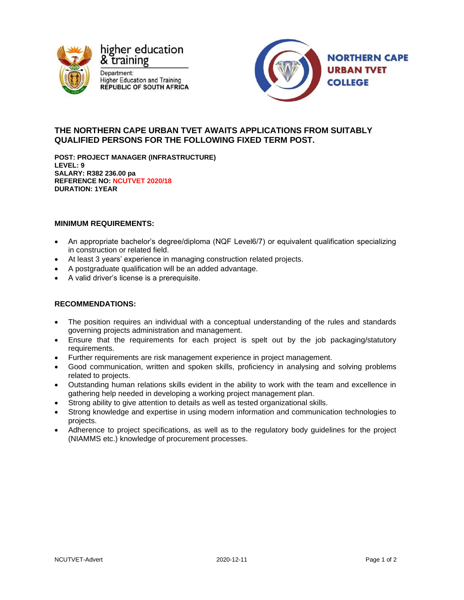



# **THE NORTHERN CAPE URBAN TVET AWAITS APPLICATIONS FROM SUITABLY QUALIFIED PERSONS FOR THE FOLLOWING FIXED TERM POST.**

**POST: PROJECT MANAGER (INFRASTRUCTURE) LEVEL: 9 SALARY: R382 236.00 pa REFERENCE NO: NCUTVET 2020/18 DURATION: 1YEAR**

# **MINIMUM REQUIREMENTS:**

- An appropriate bachelor's degree/diploma (NQF Level6/7) or equivalent qualification specializing in construction or related field.
- At least 3 years' experience in managing construction related projects.
- A postgraduate qualification will be an added advantage.
- A valid driver's license is a prerequisite.

# **RECOMMENDATIONS:**

- The position requires an individual with a conceptual understanding of the rules and standards governing projects administration and management.
- Ensure that the requirements for each project is spelt out by the job packaging/statutory requirements.
- Further requirements are risk management experience in project management.
- Good communication, written and spoken skills, proficiency in analysing and solving problems related to projects.
- Outstanding human relations skills evident in the ability to work with the team and excellence in gathering help needed in developing a working project management plan.
- Strong ability to give attention to details as well as tested organizational skills.
- Strong knowledge and expertise in using modern information and communication technologies to projects.
- Adherence to project specifications, as well as to the regulatory body guidelines for the project (NIAMMS etc.) knowledge of procurement processes.